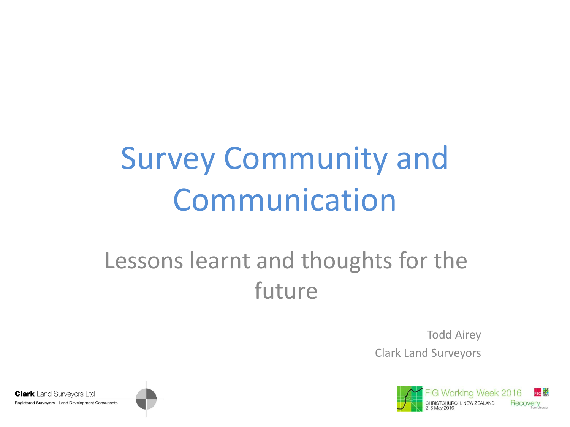## Survey Community and Communication

#### Lessons learnt and thoughts for the future

Todd Airey Clark Land Surveyors



**Clark** Land Survevors Ltd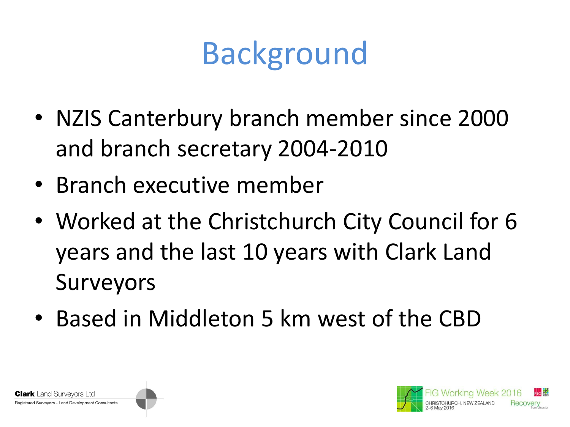### Background

- NZIS Canterbury branch member since 2000 and branch secretary 2004-2010
- Branch executive member
- Worked at the Christchurch City Council for 6 years and the last 10 years with Clark Land Surveyors
- Based in Middleton 5 km west of the CBD



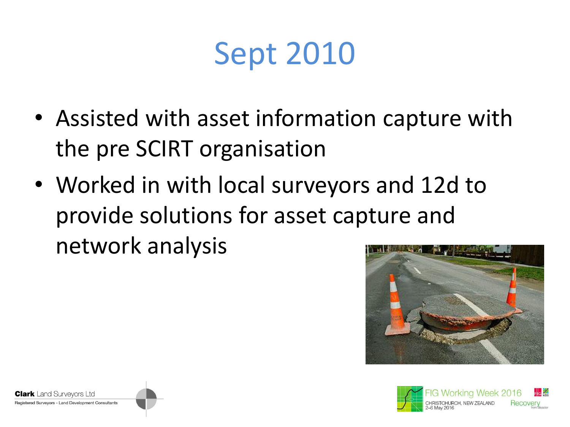### Sept 2010

- Assisted with asset information capture with the pre SCIRT organisation
- Worked in with local surveyors and 12d to provide solutions for asset capture and network analysis





**Clark** Land Survevors Ltd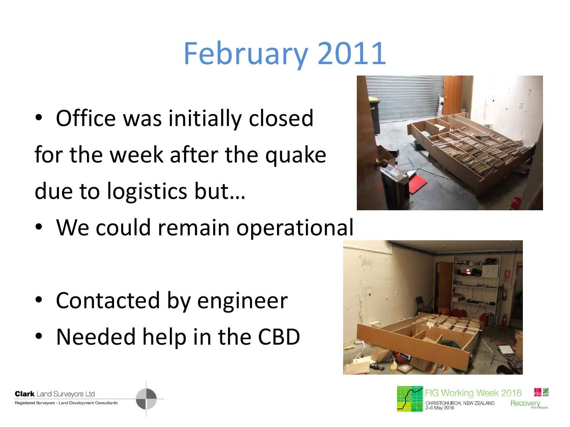## February 2011

• Office was initially closed for the week after the quake due to logistics but…



• We could remain operational

- Contacted by engineer
- Needed help in the CBD

**Clark** Land Survevors Ltd Registered Surveyors - Land Development Consultants



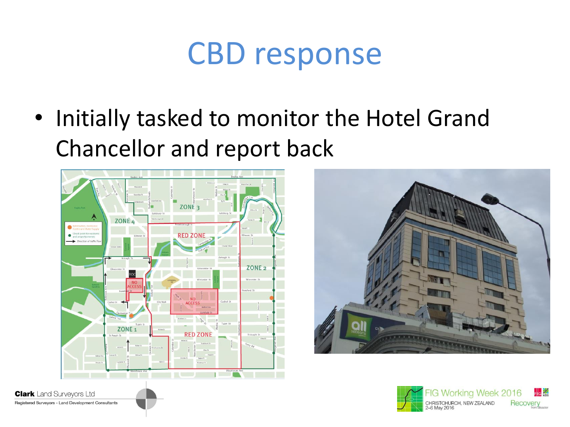#### CBD response

• Initially tasked to monitor the Hotel Grand Chancellor and report back







**Clark** Land Surveyors Ltd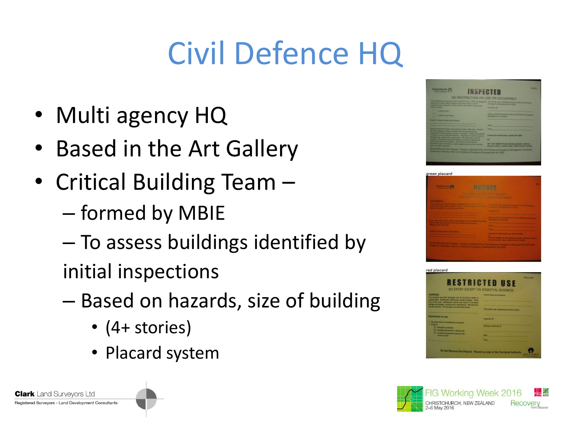# Civil Defence HQ

- Multi agency HQ
- Based in the Art Gallery
- Critical Building Team
	- formed by MBIE
	- To assess buildings identified by
	- initial inspections
	- Based on hazards, size of building
		- (4+ stories)
		- Placard system



| <b>DO SILLY AND THE COLORADOR</b><br>الكامل والمتكافئ والمستنبط والمتناوبة والمتناوب<br>ومساحف والمستحقق والمناوح ومسترد والمكاردة<br>the company's company's company's com-<br>the contract of the contract of the contract of the<br>the contract of the contract of the contract of<br>المستركب والمستناس | <b>TANK OF THE</b> |
|--------------------------------------------------------------------------------------------------------------------------------------------------------------------------------------------------------------------------------------------------------------------------------------------------------------|--------------------|
|                                                                                                                                                                                                                                                                                                              |                    |
|                                                                                                                                                                                                                                                                                                              |                    |
|                                                                                                                                                                                                                                                                                                              |                    |
|                                                                                                                                                                                                                                                                                                              |                    |
|                                                                                                                                                                                                                                                                                                              |                    |
|                                                                                                                                                                                                                                                                                                              |                    |
|                                                                                                                                                                                                                                                                                                              |                    |
|                                                                                                                                                                                                                                                                                                              |                    |





**Clark** Land Survevors Ltd Registered Surveyors - Land Development Consultants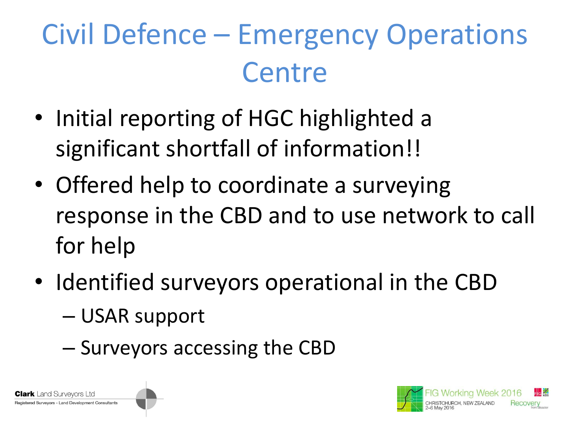#### Civil Defence – Emergency Operations **Centre**

- Initial reporting of HGC highlighted a significant shortfall of information!!
- Offered help to coordinate a surveying response in the CBD and to use network to call for help
- Identified surveyors operational in the CBD
	- USAR support

r**k** Land Survevors Ltd red Surveyors - Land Development Consultants

– Surveyors accessing the CBD

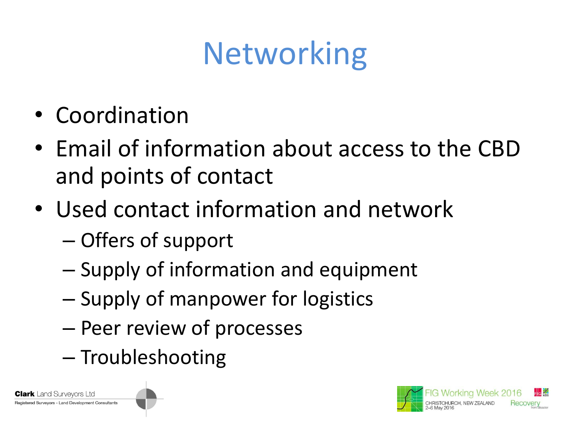## **Networking**

- Coordination
- Email of information about access to the CBD and points of contact
- Used contact information and network – Offers of support
	- Supply of information and equipment
	- Supply of manpower for logistics
	- Peer review of processes
	- Troubleshooting

 $\mathsf k$  Land Survevors Ltd ed Surveyors - Land Development Consultants

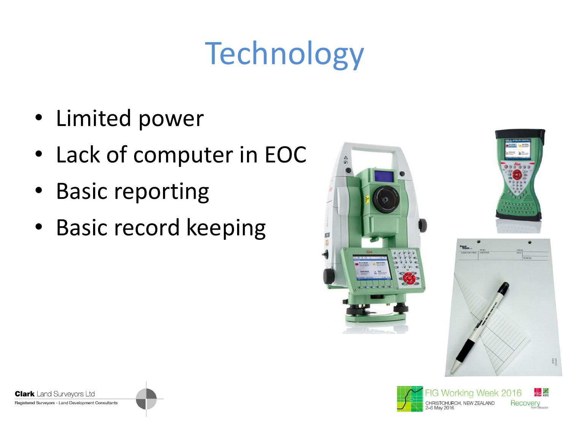# **Technology**

- Limited power
- Lack of computer in EOC
- Basic reporting
- Basic record keeping







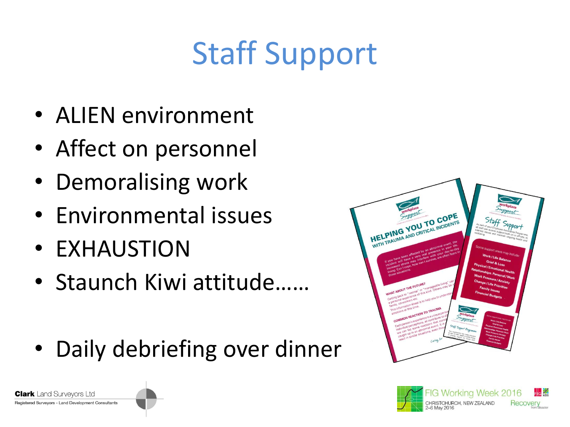## Staff Support

- ALIEN environment
- Affect on personnel
- Demoralising work
- Environmental issues
- EXHAUSTION

**Clark** Land Survevors Ltd

- Staunch Kiwi attitude……
- Daily debriefing over dinner



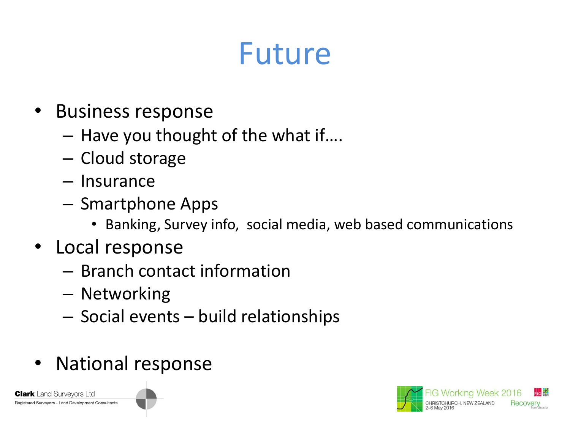#### Future

- Business response
	- Have you thought of the what if….
	- Cloud storage
	- Insurance
	- Smartphone Apps
		- Banking, Survey info, social media, web based communications
- Local response
	- Branch contact information
	- Networking
	- Social events build relationships
- National response

**Clark** Land Survevors Ltd